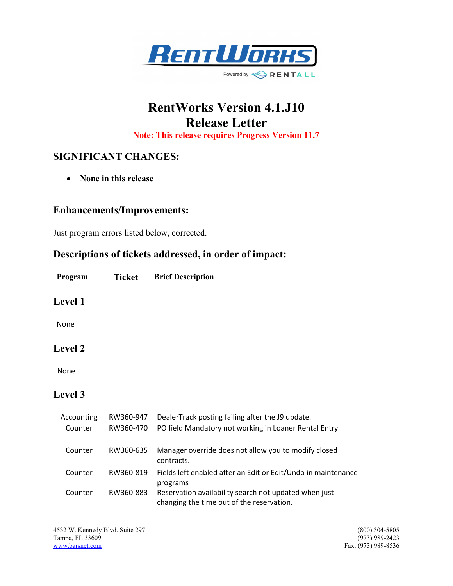

# RentWorks Version 4.1.J10 Release Letter

Note: This release requires Progress Version 11.7

# SIGNIFICANT CHANGES:

• None in this release

#### Enhancements/Improvements:

Just program errors listed below, corrected.

## Descriptions of tickets addressed, in order of impact:

Program Ticket Brief Description

#### Level 1

None

### Level 2

None

## Level 3

| Accounting | RW360-947 | DealerTrack posting failing after the J9 update.                                                   |
|------------|-----------|----------------------------------------------------------------------------------------------------|
| Counter    | RW360-470 | PO field Mandatory not working in Loaner Rental Entry                                              |
| Counter    | RW360-635 | Manager override does not allow you to modify closed<br>contracts.                                 |
| Counter    | RW360-819 | Fields left enabled after an Edit or Edit/Undo in maintenance<br>programs                          |
| Counter    | RW360-883 | Reservation availability search not updated when just<br>changing the time out of the reservation. |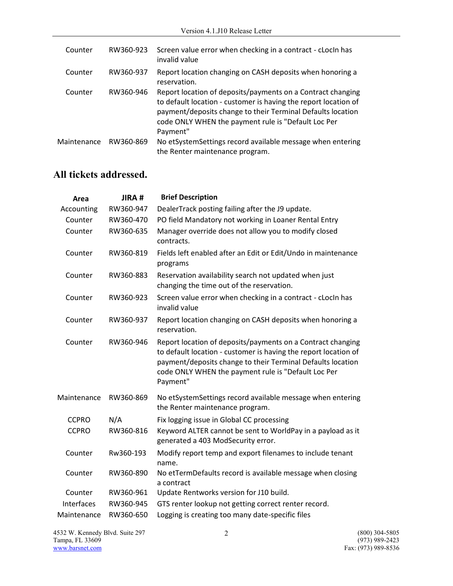| Counter     | RW360-923 | Screen value error when checking in a contract - cLocIn has<br>invalid value                                                                                                                                                                                     |
|-------------|-----------|------------------------------------------------------------------------------------------------------------------------------------------------------------------------------------------------------------------------------------------------------------------|
| Counter     | RW360-937 | Report location changing on CASH deposits when honoring a<br>reservation.                                                                                                                                                                                        |
| Counter     | RW360-946 | Report location of deposits/payments on a Contract changing<br>to default location - customer is having the report location of<br>payment/deposits change to their Terminal Defaults location<br>code ONLY WHEN the payment rule is "Default Loc Per<br>Payment" |
| Maintenance | RW360-869 | No etSystemSettings record available message when entering<br>the Renter maintenance program.                                                                                                                                                                    |

# All tickets addressed.

| Area         | JIRA#     | <b>Brief Description</b>                                                                                                                                                                                                                                         |
|--------------|-----------|------------------------------------------------------------------------------------------------------------------------------------------------------------------------------------------------------------------------------------------------------------------|
| Accounting   | RW360-947 | DealerTrack posting failing after the J9 update.                                                                                                                                                                                                                 |
| Counter      | RW360-470 | PO field Mandatory not working in Loaner Rental Entry                                                                                                                                                                                                            |
| Counter      | RW360-635 | Manager override does not allow you to modify closed<br>contracts.                                                                                                                                                                                               |
| Counter      | RW360-819 | Fields left enabled after an Edit or Edit/Undo in maintenance<br>programs                                                                                                                                                                                        |
| Counter      | RW360-883 | Reservation availability search not updated when just<br>changing the time out of the reservation.                                                                                                                                                               |
| Counter      | RW360-923 | Screen value error when checking in a contract - cLocIn has<br>invalid value                                                                                                                                                                                     |
| Counter      | RW360-937 | Report location changing on CASH deposits when honoring a<br>reservation.                                                                                                                                                                                        |
| Counter      | RW360-946 | Report location of deposits/payments on a Contract changing<br>to default location - customer is having the report location of<br>payment/deposits change to their Terminal Defaults location<br>code ONLY WHEN the payment rule is "Default Loc Per<br>Payment" |
| Maintenance  | RW360-869 | No etSystemSettings record available message when entering<br>the Renter maintenance program.                                                                                                                                                                    |
| <b>CCPRO</b> | N/A       | Fix logging issue in Global CC processing                                                                                                                                                                                                                        |
| <b>CCPRO</b> | RW360-816 | Keyword ALTER cannot be sent to WorldPay in a payload as it<br>generated a 403 ModSecurity error.                                                                                                                                                                |
| Counter      | Rw360-193 | Modify report temp and export filenames to include tenant<br>name.                                                                                                                                                                                               |
| Counter      | RW360-890 | No etTermDefaults record is available message when closing<br>a contract                                                                                                                                                                                         |
| Counter      | RW360-961 | Update Rentworks version for J10 build.                                                                                                                                                                                                                          |
| Interfaces   | RW360-945 | GTS renter lookup not getting correct renter record.                                                                                                                                                                                                             |
| Maintenance  | RW360-650 | Logging is creating too many date-specific files                                                                                                                                                                                                                 |